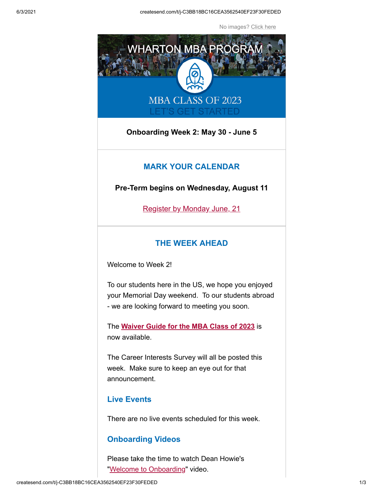No images? [Click here](https://mbaprogramoffice.createsend1.com/t/j-e-fjhjkky-l-x/)



**Onboarding Week 2: May 30 - June 5**

#### **MARK YOUR CALENDAR**

**Pre-Term begins on Wednesday, August 11**

[Register by Monday June, 21](https://mbaprogramoffice.createsend1.com/t/j-l-fjhjkky-l-r/)

# **THE WEEK AHEAD**

Welcome to Week 2!

To our students here in the US, we hope you enjoyed your Memorial Day weekend. To our students abroad - we are looking forward to meeting you soon.

The **[Waiver Guide for the MBA Class of 2023](https://mbaprogramoffice.createsend1.com/t/j-l-fjhjkky-l-y/)** is now available.

The Career Interests Survey will all be posted this week. Make sure to keep an eye out for that announcement.

# **Live Events**

There are no live events scheduled for this week.

## **Onboarding Videos**

Please take the time to watch Dean Howie's ["Welcome to Onboarding"](https://mbaprogramoffice.createsend1.com/t/j-l-fjhjkky-l-j/) video.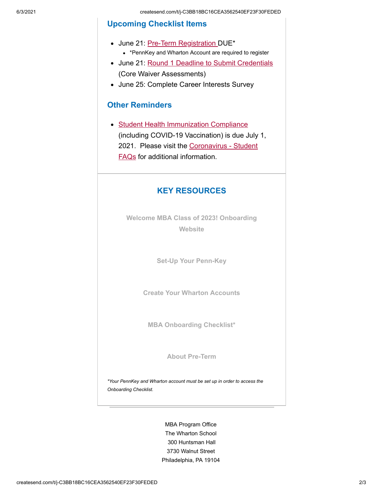### **Upcoming Checklist Items**

- June 21: [Pre-Term Registration](https://mbaprogramoffice.createsend1.com/t/j-l-fjhjkky-l-t/) DUE\*
	- \*PennKey and Wharton Account are required to register
- June 21: Round 1 Deadline [to Submit Credentials](https://mbaprogramoffice.createsend1.com/t/j-l-fjhjkky-l-i/) (Core Waiver Assessments)
- June 25: Complete Career Interests Survey

#### **Other Reminders**

• [Student Health Immunization Compliance](https://mbaprogramoffice.createsend1.com/t/j-l-fjhjkky-l-d/) (including COVID-19 Vaccination) is due July 1, [2021. Please visit the Coronavirus - Student](https://mbaprogramoffice.createsend1.com/t/j-l-fjhjkky-l-h/) FAQs for additional information.

## **KEY RESOURCES**

**[Welcome MBA Class of 2023! Onboarding](https://mbaprogramoffice.createsend1.com/t/j-l-fjhjkky-l-k/) Website**

**[Set-Up Your Penn-Key](https://mbaprogramoffice.createsend1.com/t/j-l-fjhjkky-l-u/)**

**[Create Your Wharton Accounts](https://mbaprogramoffice.createsend1.com/t/j-l-fjhjkky-l-o/)**

**[MBA Onboarding Checklist\\*](https://mbaprogramoffice.createsend1.com/t/j-l-fjhjkky-l-b/)**

**[About Pre-Term](https://mbaprogramoffice.createsend1.com/t/j-l-fjhjkky-l-p/)**

*\*Your PennKey and Wharton account must be set up in order to access the Onboarding Checklist.*

> MBA Program Office The Wharton School 300 Huntsman Hall 3730 Walnut Street Philadelphia, PA 19104